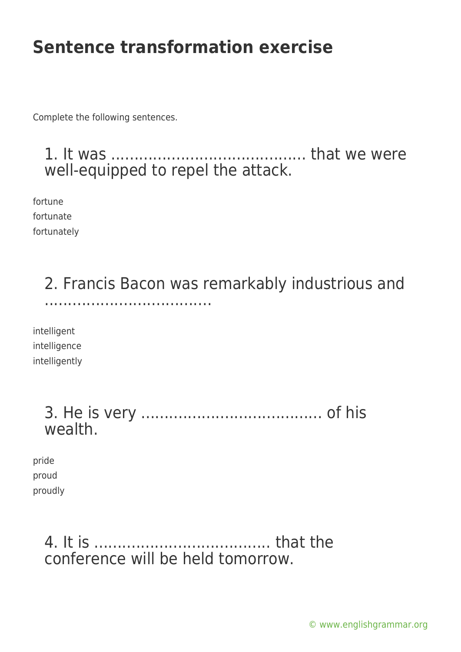Complete the following sentences.

1. It was .......................................... that we were well-equipped to repel the attack.

fortune fortunate fortunately

# 2. Francis Bacon was remarkably industrious and

....................................

intelligent intelligence intelligently

| wealth. |  |  |
|---------|--|--|

pride proud proudly

> 4. It is ...................................... that the conference will be held tomorrow.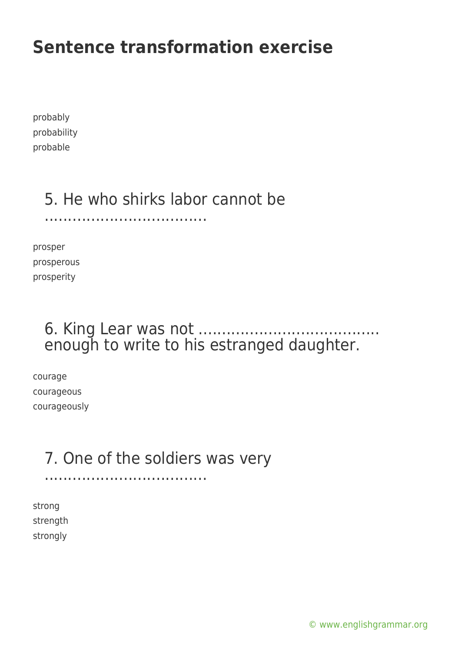probably probability probable

### 5. He who shirks labor cannot be

...................................

prosper prosperous prosperity

#### 6. King Lear was not ....................................... enough to write to his estranged daughter.

courage courageous courageously

# 7. One of the soldiers was very

...................................

strong strength strongly

[© www.englishgrammar.org](https://www.englishgrammar.org/)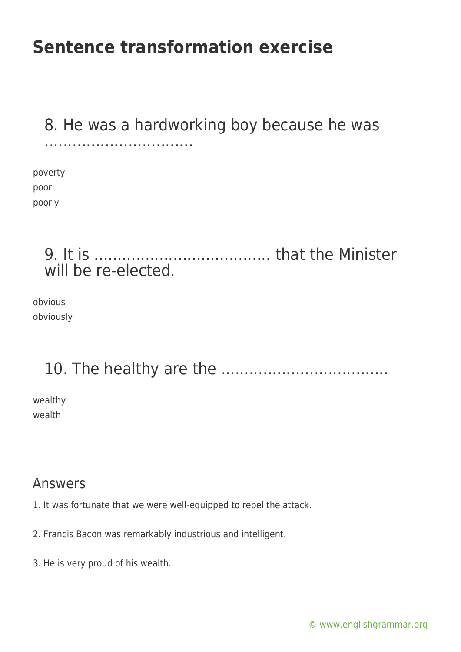#### 8. He was a hardworking boy because he was ................................

poverty poor poorly

### 9. It is ...................................... that the Minister will be re-elected.

obvious obviously

# 10. The healthy are the ....................................

wealthy wealth

#### Answers

- 1. It was fortunate that we were well-equipped to repel the attack.
- 2. Francis Bacon was remarkably industrious and intelligent.
- 3. He is very proud of his wealth.